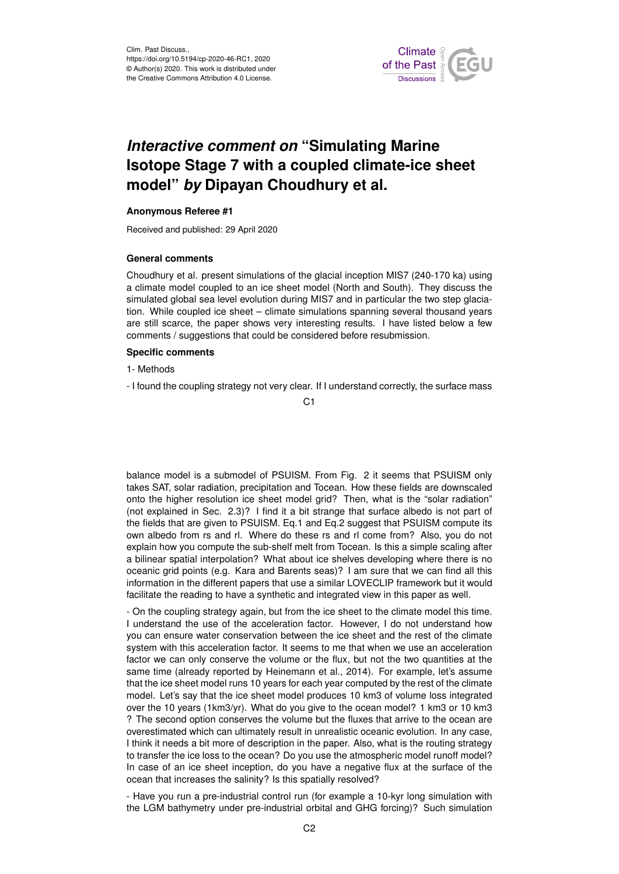

# *Interactive comment on* **"Simulating Marine Isotope Stage 7 with a coupled climate-ice sheet model"** *by* **Dipayan Choudhury et al.**

## **Anonymous Referee #1**

Received and published: 29 April 2020

### **General comments**

Choudhury et al. present simulations of the glacial inception MIS7 (240-170 ka) using a climate model coupled to an ice sheet model (North and South). They discuss the simulated global sea level evolution during MIS7 and in particular the two step glaciation. While coupled ice sheet – climate simulations spanning several thousand years are still scarce, the paper shows very interesting results. I have listed below a few comments / suggestions that could be considered before resubmission.

## **Specific comments**

1- Methods

- I found the coupling strategy not very clear. If I understand correctly, the surface mass

 $C<sub>1</sub>$ 

balance model is a submodel of PSUISM. From Fig. 2 it seems that PSUISM only takes SAT, solar radiation, precipitation and Tocean. How these fields are downscaled onto the higher resolution ice sheet model grid? Then, what is the "solar radiation" (not explained in Sec. 2.3)? I find it a bit strange that surface albedo is not part of the fields that are given to PSUISM. Eq.1 and Eq.2 suggest that PSUISM compute its own albedo from rs and rl. Where do these rs and rl come from? Also, you do not explain how you compute the sub-shelf melt from Tocean. Is this a simple scaling after a bilinear spatial interpolation? What about ice shelves developing where there is no oceanic grid points (e.g. Kara and Barents seas)? I am sure that we can find all this information in the different papers that use a similar LOVECLIP framework but it would facilitate the reading to have a synthetic and integrated view in this paper as well.

- On the coupling strategy again, but from the ice sheet to the climate model this time. I understand the use of the acceleration factor. However, I do not understand how you can ensure water conservation between the ice sheet and the rest of the climate system with this acceleration factor. It seems to me that when we use an acceleration factor we can only conserve the volume or the flux, but not the two quantities at the same time (already reported by Heinemann et al., 2014). For example, let's assume that the ice sheet model runs 10 years for each year computed by the rest of the climate model. Let's say that the ice sheet model produces 10 km3 of volume loss integrated over the 10 years (1km3/yr). What do you give to the ocean model? 1 km3 or 10 km3 ? The second option conserves the volume but the fluxes that arrive to the ocean are overestimated which can ultimately result in unrealistic oceanic evolution. In any case, I think it needs a bit more of description in the paper. Also, what is the routing strategy to transfer the ice loss to the ocean? Do you use the atmospheric model runoff model? In case of an ice sheet inception, do you have a negative flux at the surface of the ocean that increases the salinity? Is this spatially resolved?

- Have you run a pre-industrial control run (for example a 10-kyr long simulation with the LGM bathymetry under pre-industrial orbital and GHG forcing)? Such simulation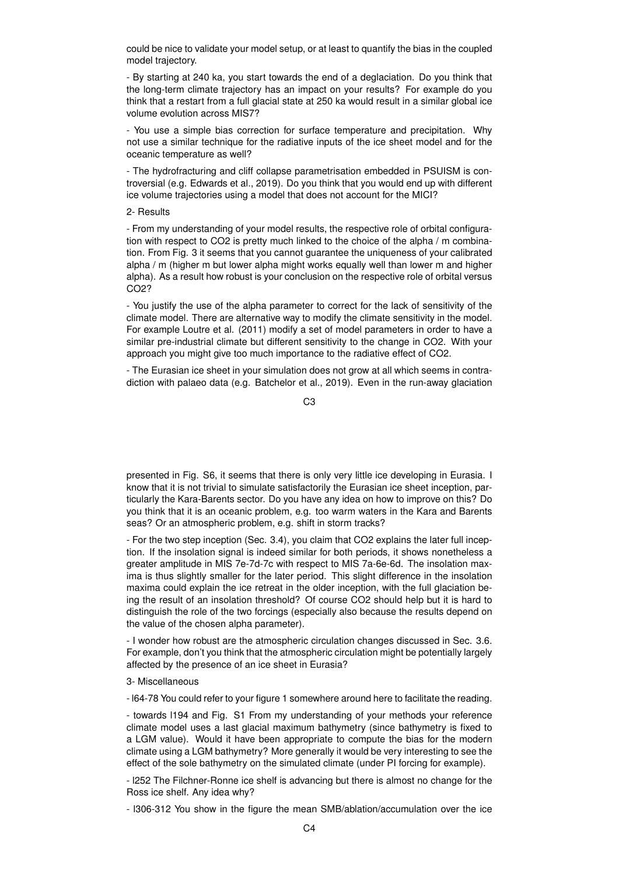could be nice to validate your model setup, or at least to quantify the bias in the coupled model trajectory.

- By starting at 240 ka, you start towards the end of a deglaciation. Do you think that the long-term climate trajectory has an impact on your results? For example do you think that a restart from a full glacial state at 250 ka would result in a similar global ice volume evolution across MIS7?

- You use a simple bias correction for surface temperature and precipitation. Why not use a similar technique for the radiative inputs of the ice sheet model and for the oceanic temperature as well?

- The hydrofracturing and cliff collapse parametrisation embedded in PSUISM is controversial (e.g. Edwards et al., 2019). Do you think that you would end up with different ice volume trajectories using a model that does not account for the MICI?

#### 2- Results

- From my understanding of your model results, the respective role of orbital configuration with respect to CO2 is pretty much linked to the choice of the alpha / m combination. From Fig. 3 it seems that you cannot guarantee the uniqueness of your calibrated alpha / m (higher m but lower alpha might works equally well than lower m and higher alpha). As a result how robust is your conclusion on the respective role of orbital versus CO2?

- You justify the use of the alpha parameter to correct for the lack of sensitivity of the climate model. There are alternative way to modify the climate sensitivity in the model. For example Loutre et al. (2011) modify a set of model parameters in order to have a similar pre-industrial climate but different sensitivity to the change in CO2. With your approach you might give too much importance to the radiative effect of CO2.

- The Eurasian ice sheet in your simulation does not grow at all which seems in contradiction with palaeo data (e.g. Batchelor et al., 2019). Even in the run-away glaciation

C3

presented in Fig. S6, it seems that there is only very little ice developing in Eurasia. I know that it is not trivial to simulate satisfactorily the Eurasian ice sheet inception, particularly the Kara-Barents sector. Do you have any idea on how to improve on this? Do you think that it is an oceanic problem, e.g. too warm waters in the Kara and Barents seas? Or an atmospheric problem, e.g. shift in storm tracks?

- For the two step inception (Sec. 3.4), you claim that CO2 explains the later full inception. If the insolation signal is indeed similar for both periods, it shows nonetheless a greater amplitude in MIS 7e-7d-7c with respect to MIS 7a-6e-6d. The insolation maxima is thus slightly smaller for the later period. This slight difference in the insolation maxima could explain the ice retreat in the older inception, with the full glaciation being the result of an insolation threshold? Of course CO2 should help but it is hard to distinguish the role of the two forcings (especially also because the results depend on the value of the chosen alpha parameter).

- I wonder how robust are the atmospheric circulation changes discussed in Sec. 3.6. For example, don't you think that the atmospheric circulation might be potentially largely affected by the presence of an ice sheet in Eurasia?

#### 3- Miscellaneous

- l64-78 You could refer to your figure 1 somewhere around here to facilitate the reading.

- towards l194 and Fig. S1 From my understanding of your methods your reference climate model uses a last glacial maximum bathymetry (since bathymetry is fixed to a LGM value). Would it have been appropriate to compute the bias for the modern climate using a LGM bathymetry? More generally it would be very interesting to see the effect of the sole bathymetry on the simulated climate (under PI forcing for example).

- l252 The Filchner-Ronne ice shelf is advancing but there is almost no change for the Ross ice shelf. Any idea why?

- l306-312 You show in the figure the mean SMB/ablation/accumulation over the ice